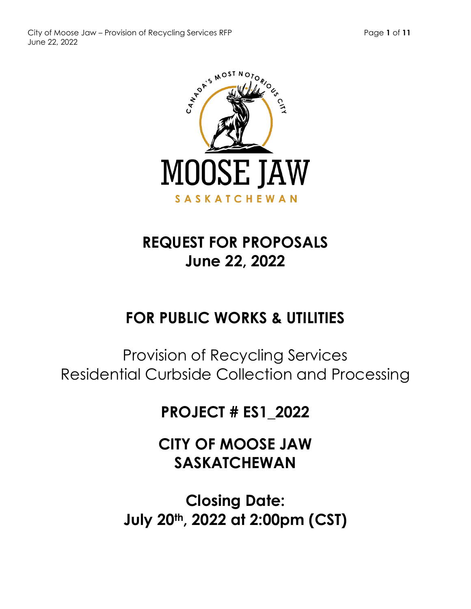



# **REQUEST FOR PROPOSALS June 22, 2022**

# **FOR PUBLIC WORKS & UTILITIES**

Provision of Recycling Services Residential Curbside Collection and Processing

# **PROJECT # ES1\_2022**

**CITY OF MOOSE JAW SASKATCHEWAN**

**Closing Date: July 20th, 2022 at 2:00pm (CST)**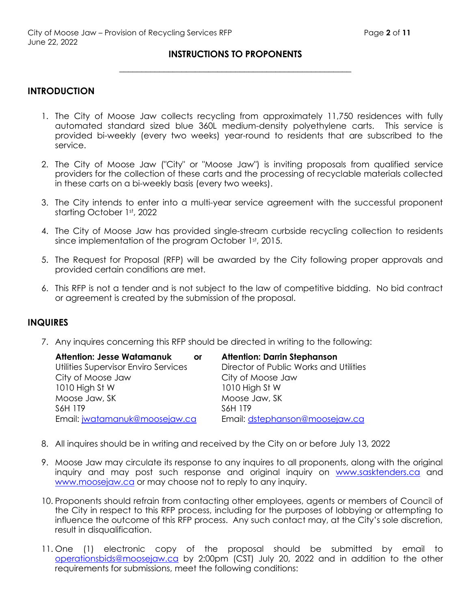# **INSTRUCTIONS TO PROPONENTS \_\_\_\_\_\_\_\_\_\_\_\_\_\_\_\_\_\_\_\_\_\_\_\_\_\_\_\_\_\_\_\_\_\_\_\_\_\_\_\_\_\_\_\_\_\_\_\_\_\_\_\_**

#### **INTRODUCTION**

- 1. The City of Moose Jaw collects recycling from approximately 11,750 residences with fully automated standard sized blue 360L medium-density polyethylene carts. This service is provided bi-weekly (every two weeks) year-round to residents that are subscribed to the service.
- 2. The City of Moose Jaw ("City" or "Moose Jaw") is inviting proposals from qualified service providers for the collection of these carts and the processing of recyclable materials collected in these carts on a bi-weekly basis (every two weeks).
- 3. The City intends to enter into a multi-year service agreement with the successful proponent starting October 1st, 2022
- 4. The City of Moose Jaw has provided single-stream curbside recycling collection to residents since implementation of the program October 1st, 2015.
- 5. The Request for Proposal (RFP) will be awarded by the City following proper approvals and provided certain conditions are met.
- 6. This RFP is not a tender and is not subject to the law of competitive bidding. No bid contract or agreement is created by the submission of the proposal.

#### **INQUIRES**

7. Any inquires concerning this RFP should be directed in writing to the following:

| <b>Attention: Jesse Watamanuk</b>    | or | <b>Attention: Darrin Stephanson</b>    |
|--------------------------------------|----|----------------------------------------|
| Utilities Supervisor Enviro Services |    | Director of Public Works and Utilities |
| City of Moose Jaw                    |    | City of Moose Jaw                      |
| 1010 High St W                       |    | 1010 High St W                         |
| Moose Jaw, SK                        |    | Moose Jaw, SK                          |
| S6H 1T9                              |    | S6H 1T9                                |
| Email: jwatamanuk@moosejaw.ca        |    | Email: dstephanson@moosejaw.ca         |

- 8. All inquires should be in writing and received by the City on or before July 13, 2022
- 9. Moose Jaw may circulate its response to any inquires to all proponents, along with the original inquiry and may post such response and original inquiry on [www.sasktenders.ca](http://www.sasktenders.ca/) and [www.moosejaw.ca](http://www.moosejaw.ca/) or may choose not to reply to any inquiry.
- 10. Proponents should refrain from contacting other employees, agents or members of Council of the City in respect to this RFP process, including for the purposes of lobbying or attempting to influence the outcome of this RFP process. Any such contact may, at the City's sole discretion, result in disqualification.
- 11. One (1) electronic copy of the proposal should be submitted by email to [operationsbids@moosejaw.ca](mailto:operationsbids@moosejaw.ca) by 2:00pm (CST) July 20, 2022 and in addition to the other requirements for submissions, meet the following conditions: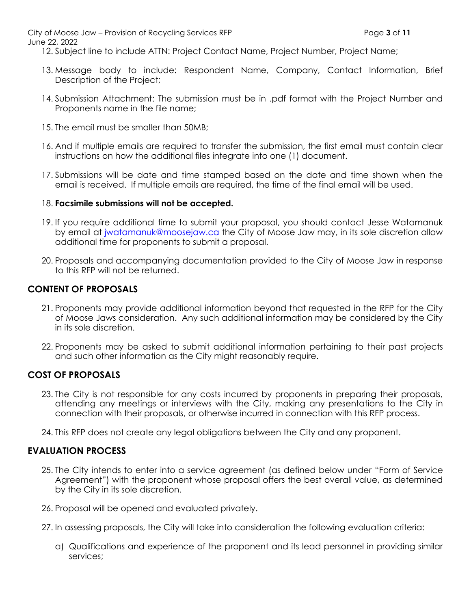City of Moose Jaw – Provision of Recycling Services RFP Page **3** of **11**

June 22, 2022

12. Subject line to include ATTN: Project Contact Name, Project Number, Project Name;

- 13. Message body to include: Respondent Name, Company, Contact Information, Brief Description of the Project;
- 14. Submission Attachment: The submission must be in .pdf format with the Project Number and Proponents name in the file name;
- 15. The email must be smaller than 50MB;
- 16. And if multiple emails are required to transfer the submission, the first email must contain clear instructions on how the additional files integrate into one (1) document.
- 17. Submissions will be date and time stamped based on the date and time shown when the email is received. If multiple emails are required, the time of the final email will be used.

#### 18. **Facsimile submissions will not be accepted.**

- 19. If you require additional time to submit your proposal, you should contact Jesse Watamanuk by email at [jwatamanuk@moosejaw.ca](mailto:jwatamanuk@moosejaw.ca) the City of Moose Jaw may, in its sole discretion allow additional time for proponents to submit a proposal.
- 20. Proposals and accompanying documentation provided to the City of Moose Jaw in response to this RFP will not be returned.

# **CONTENT OF PROPOSALS**

- 21. Proponents may provide additional information beyond that requested in the RFP for the City of Moose Jaws consideration. Any such additional information may be considered by the City in its sole discretion.
- 22. Proponents may be asked to submit additional information pertaining to their past projects and such other information as the City might reasonably require.

# **COST OF PROPOSALS**

- 23. The City is not responsible for any costs incurred by proponents in preparing their proposals, attending any meetings or interviews with the City, making any presentations to the City in connection with their proposals, or otherwise incurred in connection with this RFP process.
- 24. This RFP does not create any legal obligations between the City and any proponent.

### **EVALUATION PROCESS**

- 25. The City intends to enter into a service agreement (as defined below under "Form of Service Agreement") with the proponent whose proposal offers the best overall value, as determined by the City in its sole discretion.
- 26. Proposal will be opened and evaluated privately.
- 27. In assessing proposals, the City will take into consideration the following evaluation criteria:
	- a) Qualifications and experience of the proponent and its lead personnel in providing similar services;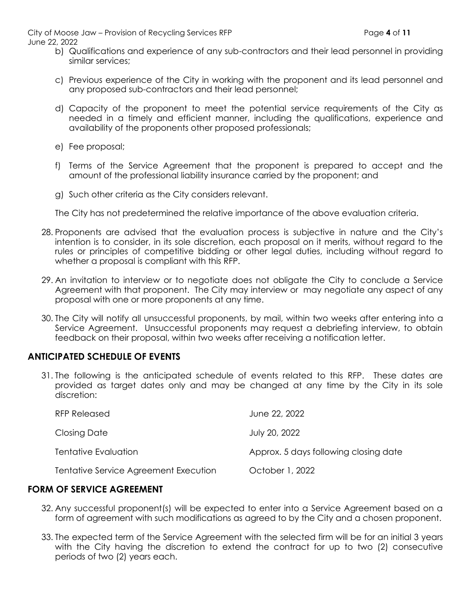City of Moose Jaw – Provision of Recycling Services RFP Page **4** of **11** June 22, 2022

- b) Qualifications and experience of any sub-contractors and their lead personnel in providing similar services;
- c) Previous experience of the City in working with the proponent and its lead personnel and any proposed sub-contractors and their lead personnel;
- d) Capacity of the proponent to meet the potential service requirements of the City as needed in a timely and efficient manner, including the qualifications, experience and availability of the proponents other proposed professionals;
- e) Fee proposal;
- f) Terms of the Service Agreement that the proponent is prepared to accept and the amount of the professional liability insurance carried by the proponent; and
- g) Such other criteria as the City considers relevant.

The City has not predetermined the relative importance of the above evaluation criteria.

- 28. Proponents are advised that the evaluation process is subjective in nature and the City's intention is to consider, in its sole discretion, each proposal on it merits, without regard to the rules or principles of competitive bidding or other legal duties, including without regard to whether a proposal is compliant with this RFP.
- 29. An invitation to interview or to negotiate does not obligate the City to conclude a Service Agreement with that proponent. The City may interview or may negotiate any aspect of any proposal with one or more proponents at any time.
- 30. The City will notify all unsuccessful proponents, by mail, within two weeks after entering into a Service Agreement. Unsuccessful proponents may request a debriefing interview, to obtain feedback on their proposal, within two weeks after receiving a notification letter.

# **ANTICIPATED SCHEDULE OF EVENTS**

31. The following is the anticipated schedule of events related to this RFP. These dates are provided as target dates only and may be changed at any time by the City in its sole discretion:

| RFP Released                          | June 22, 2022                         |
|---------------------------------------|---------------------------------------|
| Closing Date                          | July 20, 2022                         |
| Tentative Evaluation                  | Approx. 5 days following closing date |
| Tentative Service Agreement Execution | October 1, 2022                       |

### **FORM OF SERVICE AGREEMENT**

- 32. Any successful proponent(s) will be expected to enter into a Service Agreement based on a form of agreement with such modifications as agreed to by the City and a chosen proponent.
- 33. The expected term of the Service Agreement with the selected firm will be for an initial 3 years with the City having the discretion to extend the contract for up to two (2) consecutive periods of two (2) years each.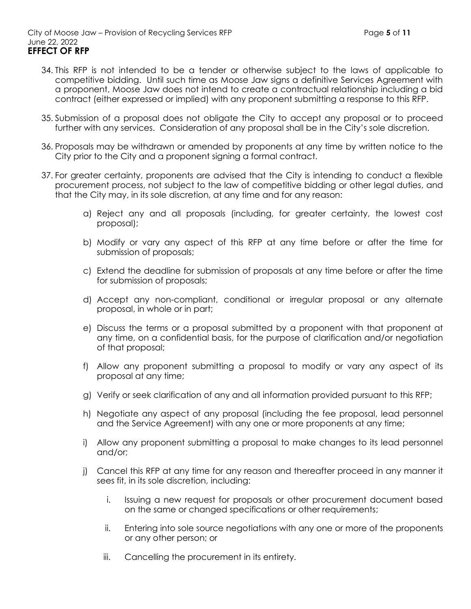- 34. This RFP is not intended to be a tender or otherwise subject to the laws of applicable to competitive bidding. Until such time as Moose Jaw signs a definitive Services Agreement with a proponent, Moose Jaw does not intend to create a contractual relationship including a bid contract (either expressed or implied) with any proponent submitting a response to this RFP.
- 35. Submission of a proposal does not obligate the City to accept any proposal or to proceed further with any services. Consideration of any proposal shall be in the City's sole discretion.
- 36. Proposals may be withdrawn or amended by proponents at any time by written notice to the City prior to the City and a proponent signing a formal contract.
- 37. For greater certainty, proponents are advised that the City is intending to conduct a flexible procurement process, not subject to the law of competitive bidding or other legal duties, and that the City may, in its sole discretion, at any time and for any reason:
	- a) Reject any and all proposals (including, for greater certainty, the lowest cost proposal);
	- b) Modify or vary any aspect of this RFP at any time before or after the time for submission of proposals;
	- c) Extend the deadline for submission of proposals at any time before or after the time for submission of proposals;
	- d) Accept any non-compliant, conditional or irregular proposal or any alternate proposal, in whole or in part;
	- e) Discuss the terms or a proposal submitted by a proponent with that proponent at any time, on a confidential basis, for the purpose of clarification and/or negotiation of that proposal;
	- f) Allow any proponent submitting a proposal to modify or vary any aspect of its proposal at any time;
	- g) Verify or seek clarification of any and all information provided pursuant to this RFP;
	- h) Negotiate any aspect of any proposal (including the fee proposal, lead personnel and the Service Agreement) with any one or more proponents at any time;
	- i) Allow any proponent submitting a proposal to make changes to its lead personnel and/or;
	- j) Cancel this RFP at any time for any reason and thereafter proceed in any manner it sees fit, in its sole discretion, including:
		- i. Issuing a new request for proposals or other procurement document based on the same or changed specifications or other requirements;
		- ii. Entering into sole source negotiations with any one or more of the proponents or any other person; or
		- iii. Cancelling the procurement in its entirety.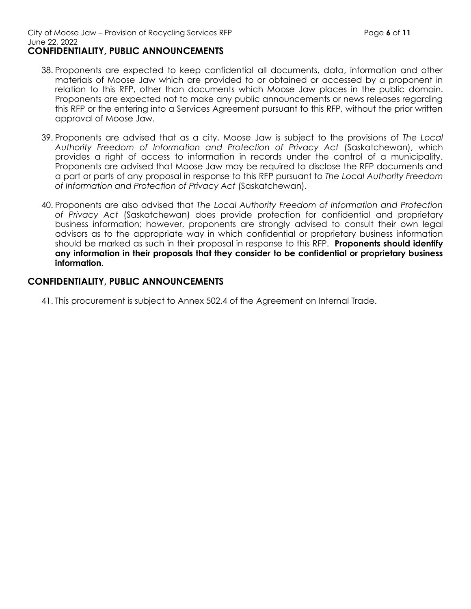#### City of Moose Jaw – Provision of Recycling Services RFP **Page 6** of **11** June 22, 2022 **CONFIDENTIALITY, PUBLIC ANNOUNCEMENTS**

- 39. Proponents are advised that as a city, Moose Jaw is subject to the provisions of *The Local Authority Freedom of Information and Protection of Privacy Act* (Saskatchewan), which provides a right of access to information in records under the control of a municipality. Proponents are advised that Moose Jaw may be required to disclose the RFP documents and a part or parts of any proposal in response to this RFP pursuant to *The Local Authority Freedom of Information and Protection of Privacy Act* (Saskatchewan).
- 40. Proponents are also advised that *The Local Authority Freedom of Information and Protection of Privacy Act* (Saskatchewan) does provide protection for confidential and proprietary business information; however, proponents are strongly advised to consult their own legal advisors as to the appropriate way in which confidential or proprietary business information should be marked as such in their proposal in response to this RFP. **Proponents should identify any information in their proposals that they consider to be confidential or proprietary business information.**

### **CONFIDENTIALITY, PUBLIC ANNOUNCEMENTS**

41. This procurement is subject to Annex 502.4 of the Agreement on Internal Trade.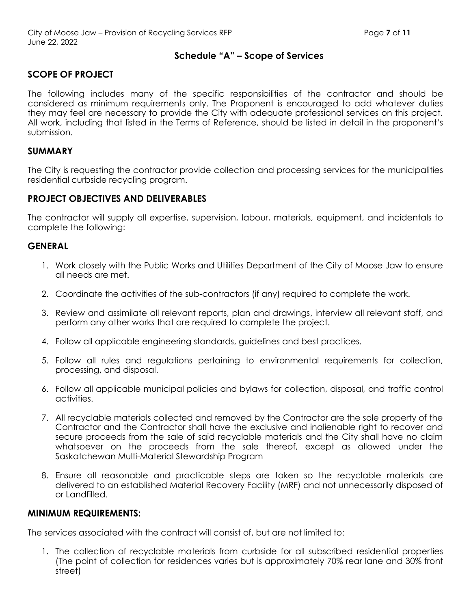#### **Schedule "A" – Scope of Services**

# **SCOPE OF PROJECT**

The following includes many of the specific responsibilities of the contractor and should be considered as minimum requirements only. The Proponent is encouraged to add whatever duties they may feel are necessary to provide the City with adequate professional services on this project. All work, including that listed in the Terms of Reference, should be listed in detail in the proponent's submission.

#### **SUMMARY**

The City is requesting the contractor provide collection and processing services for the municipalities residential curbside recycling program.

### **PROJECT OBJECTIVES AND DELIVERABLES**

The contractor will supply all expertise, supervision, labour, materials, equipment, and incidentals to complete the following:

### **GENERAL**

- 1. Work closely with the Public Works and Utilities Department of the City of Moose Jaw to ensure all needs are met.
- 2. Coordinate the activities of the sub-contractors (if any) required to complete the work.
- 3. Review and assimilate all relevant reports, plan and drawings, interview all relevant staff, and perform any other works that are required to complete the project.
- 4. Follow all applicable engineering standards, guidelines and best practices.
- 5. Follow all rules and regulations pertaining to environmental requirements for collection, processing, and disposal.
- 6. Follow all applicable municipal policies and bylaws for collection, disposal, and traffic control activities.
- 7. All recyclable materials collected and removed by the Contractor are the sole property of the Contractor and the Contractor shall have the exclusive and inalienable right to recover and secure proceeds from the sale of said recyclable materials and the City shall have no claim whatsoever on the proceeds from the sale thereof, except as allowed under the Saskatchewan Multi-Material Stewardship Program
- 8. Ensure all reasonable and practicable steps are taken so the recyclable materials are delivered to an established Material Recovery Facility (MRF) and not unnecessarily disposed of or Landfilled.

#### **MINIMUM REQUIREMENTS:**

The services associated with the contract will consist of, but are not limited to:

1. The collection of recyclable materials from curbside for all subscribed residential properties (The point of collection for residences varies but is approximately 70% rear lane and 30% front street)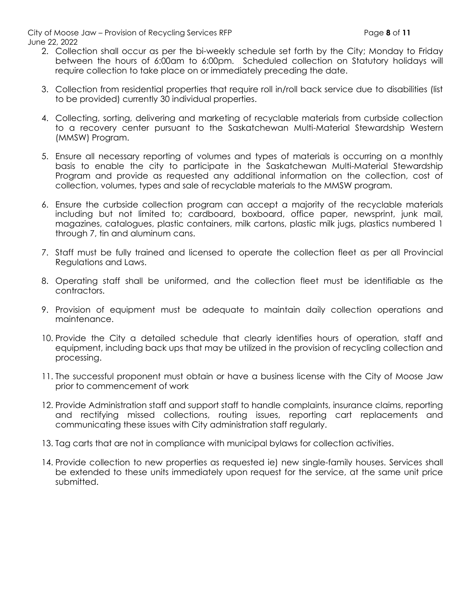City of Moose Jaw – Provision of Recycling Services RFP Page **8** of **11** June 22, 2022

- 2. Collection shall occur as per the bi-weekly schedule set forth by the City; Monday to Friday between the hours of 6:00am to 6:00pm. Scheduled collection on Statutory holidays will require collection to take place on or immediately preceding the date.
- 3. Collection from residential properties that require roll in/roll back service due to disabilities (list to be provided) currently 30 individual properties.
- 4. Collecting, sorting, delivering and marketing of recyclable materials from curbside collection to a recovery center pursuant to the Saskatchewan Multi-Material Stewardship Western (MMSW) Program.
- 5. Ensure all necessary reporting of volumes and types of materials is occurring on a monthly basis to enable the city to participate in the Saskatchewan Multi-Material Stewardship Program and provide as requested any additional information on the collection, cost of collection, volumes, types and sale of recyclable materials to the MMSW program.
- 6. Ensure the curbside collection program can accept a majority of the recyclable materials including but not limited to; cardboard, boxboard, office paper, newsprint, junk mail, magazines, catalogues, plastic containers, milk cartons, plastic milk jugs, plastics numbered 1 through 7, tin and aluminum cans.
- 7. Staff must be fully trained and licensed to operate the collection fleet as per all Provincial Regulations and Laws.
- 8. Operating staff shall be uniformed, and the collection fleet must be identifiable as the contractors.
- 9. Provision of equipment must be adequate to maintain daily collection operations and maintenance.
- 10. Provide the City a detailed schedule that clearly identifies hours of operation, staff and equipment, including back ups that may be utilized in the provision of recycling collection and processing.
- 11. The successful proponent must obtain or have a business license with the City of Moose Jaw prior to commencement of work
- 12. Provide Administration staff and support staff to handle complaints, insurance claims, reporting and rectifying missed collections, routing issues, reporting cart replacements and communicating these issues with City administration staff regularly.
- 13. Tag carts that are not in compliance with municipal bylaws for collection activities.
- 14. Provide collection to new properties as requested ie) new single-family houses. Services shall be extended to these units immediately upon request for the service, at the same unit price submitted.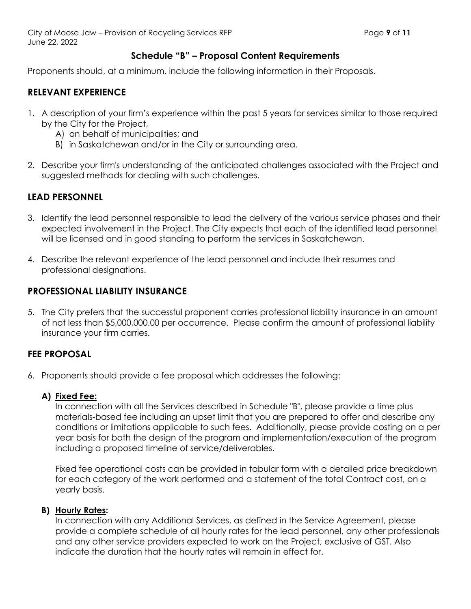### **Schedule "B" – Proposal Content Requirements**

Proponents should, at a minimum, include the following information in their Proposals.

# **RELEVANT EXPERIENCE**

- 1. A description of your firm's experience within the past 5 years for services similar to those required by the City for the Project,
	- A) on behalf of municipalities; and
	- B) in Saskatchewan and/or in the City or surrounding area.
- 2. Describe your firm's understanding of the anticipated challenges associated with the Project and suggested methods for dealing with such challenges.

# **LEAD PERSONNEL**

- 3. Identify the lead personnel responsible to lead the delivery of the various service phases and their expected involvement in the Project. The City expects that each of the identified lead personnel will be licensed and in good standing to perform the services in Saskatchewan.
- 4. Describe the relevant experience of the lead personnel and include their resumes and professional designations.

# **PROFESSIONAL LIABILITY INSURANCE**

5. The City prefers that the successful proponent carries professional liability insurance in an amount of not less than \$5,000,000.00 per occurrence. Please confirm the amount of professional liability insurance your firm carries.

# **FEE PROPOSAL**

6. Proponents should provide a fee proposal which addresses the following:

### **A) Fixed Fee:**

In connection with all the Services described in Schedule "B", please provide a time plus materials-based fee including an upset limit that you are prepared to offer and describe any conditions or limitations applicable to such fees. Additionally, please provide costing on a per year basis for both the design of the program and implementation/execution of the program including a proposed timeline of service/deliverables.

Fixed fee operational costs can be provided in tabular form with a detailed price breakdown for each category of the work performed and a statement of the total Contract cost, on a yearly basis.

#### **B) Hourly Rates:**

In connection with any Additional Services, as defined in the Service Agreement, please provide a complete schedule of all hourly rates for the lead personnel, any other professionals and any other service providers expected to work on the Project, exclusive of GST. Also indicate the duration that the hourly rates will remain in effect for.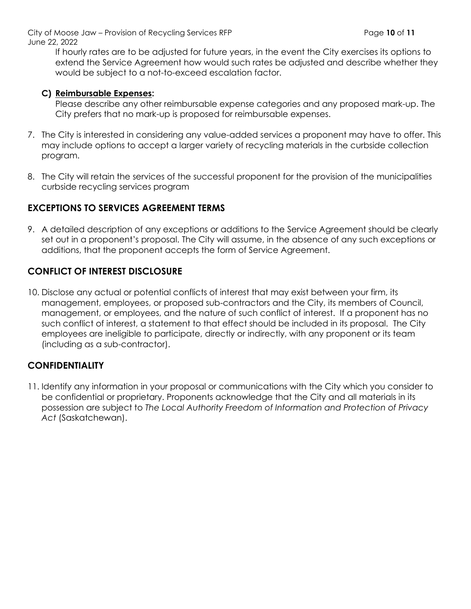City of Moose Jaw – Provision of Recycling Services RFP **Page 10** of **11** Page 10 of 11 June 22, 2022

If hourly rates are to be adjusted for future years, in the event the City exercises its options to extend the Service Agreement how would such rates be adjusted and describe whether they would be subject to a not-to-exceed escalation factor.

#### **C) Reimbursable Expenses:**

Please describe any other reimbursable expense categories and any proposed mark-up. The City prefers that no mark-up is proposed for reimbursable expenses.

- 7. The City is interested in considering any value-added services a proponent may have to offer. This may include options to accept a larger variety of recycling materials in the curbside collection program.
- 8. The City will retain the services of the successful proponent for the provision of the municipalities curbside recycling services program

### **EXCEPTIONS TO SERVICES AGREEMENT TERMS**

9. A detailed description of any exceptions or additions to the Service Agreement should be clearly set out in a proponent's proposal. The City will assume, in the absence of any such exceptions or additions, that the proponent accepts the form of Service Agreement.

### **CONFLICT OF INTEREST DISCLOSURE**

10. Disclose any actual or potential conflicts of interest that may exist between your firm, its management, employees, or proposed sub-contractors and the City, its members of Council, management, or employees, and the nature of such conflict of interest. If a proponent has no such conflict of interest, a statement to that effect should be included in its proposal. The City employees are ineligible to participate, directly or indirectly, with any proponent or its team (including as a sub-contractor).

# **CONFIDENTIALITY**

11. Identify any information in your proposal or communications with the City which you consider to be confidential or proprietary. Proponents acknowledge that the City and all materials in its possession are subject to *The Local Authority Freedom of Information and Protection of Privacy Act* (Saskatchewan).